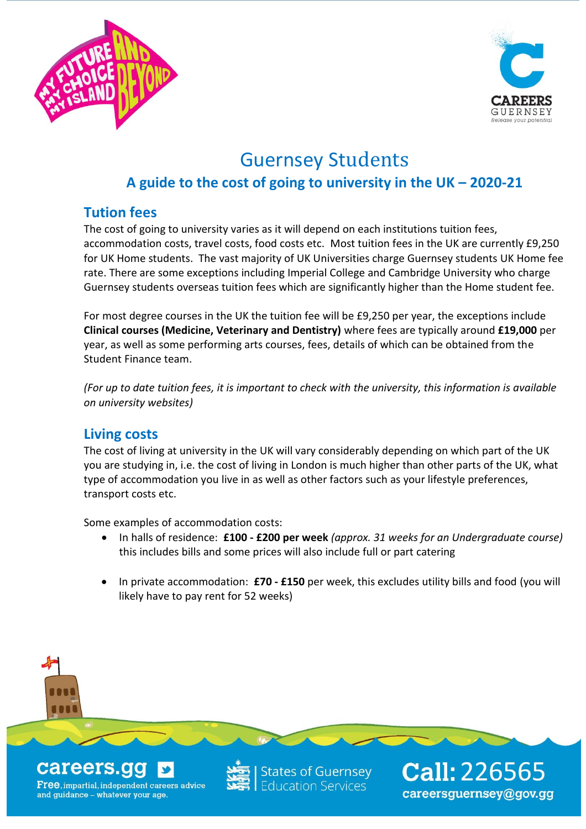



# Guernsey Students

# **A guide to the cost of going to university in the UK – 2020-21**

# **Tution fees**

The cost of going to university varies as it will depend on each institutions tuition fees, accommodation costs, travel costs, food costs etc. Most tuition fees in the UK are currently £9,250 for UK Home students. The vast majority of UK Universities charge Guernsey students UK Home fee rate. There are some exceptions including Imperial College and Cambridge University who charge Guernsey students overseas tuition fees which are significantly higher than the Home student fee.

For most degree courses in the UK the tuition fee will be £9,250 per year, the exceptions include **Clinical courses (Medicine, Veterinary and Dentistry)** where fees are typically around **£19,000** per year, as well as some performing arts courses, fees, details of which can be obtained from the Student Finance team.

*(For up to date tuition fees, it is important to check with the university, this information is available on university websites)*

## **Living costs**

The cost of living at university in the UK will vary considerably depending on which part of the UK you are studying in, i.e. the cost of living in London is much higher than other parts of the UK, what type of accommodation you live in as well as other factors such as your lifestyle preferences, transport costs etc.

Some examples of accommodation costs:

- In halls of residence: **£100 - £200 per week** *(approx. 31 weeks for an Undergraduate course)*  this includes bills and some prices will also include full or part catering
- In private accommodation: **£70 - £150** per week, this excludes utility bills and food (you will likely have to pay rent for 52 weeks)

careers.

**Free, impartial, independent careers advice** and guidance - whatever your age.

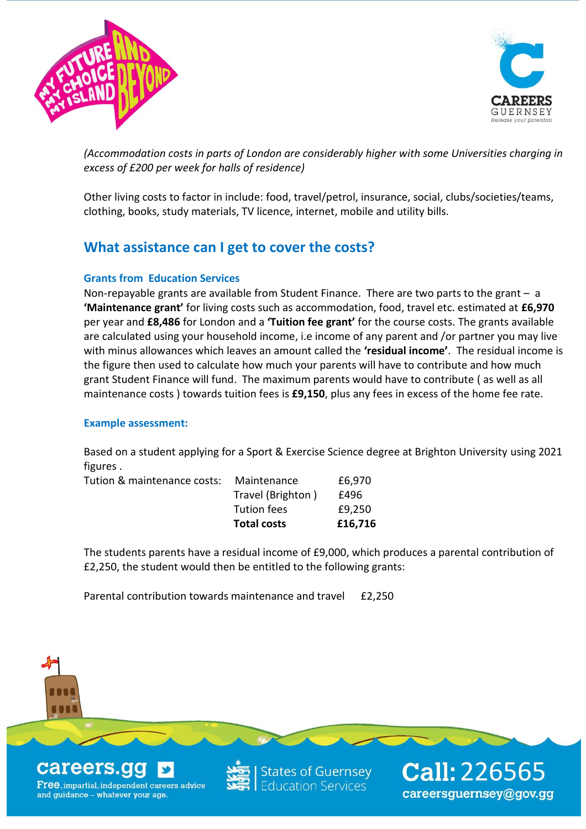



*(Accommodation costs in parts of London are considerably higher with some Universities charging in excess of £200 per week for halls of residence)*

Other living costs to factor in include: food, travel/petrol, insurance, social, clubs/societies/teams, clothing, books, study materials, TV licence, internet, mobile and utility bills.

## **What assistance can I get to cover the costs?**

#### **Grants from Education Services**

Non-repayable grants are available from Student Finance. There are two parts to the grant – a **'Maintenance grant'** for living costs such as accommodation, food, travel etc. estimated at **£6,970** per year and **£8,486** for London and a **'Tuition fee grant'** for the course costs. The grants available are calculated using your household income, i.e income of any parent and /or partner you may live with minus allowances which leaves an amount called the **'residual income'**.The residual income is the figure then used to calculate how much your parents will have to contribute and how much grant Student Finance will fund. The maximum parents would have to contribute ( as well as all maintenance costs ) towards tuition fees is **£9,150**, plus any fees in excess of the home fee rate.

#### **Example assessment:**

Based on a student applying for a Sport & Exercise Science degree at Brighton University using 2021 figures .

| <b>Total costs</b> | £16,716 |
|--------------------|---------|
| <b>Tution fees</b> | £9,250  |
| Travel (Brighton)  | £496    |
| Maintenance        | £6,970  |
|                    |         |

The students parents have a residual income of £9,000, which produces a parental contribution of £2,250, the student would then be entitled to the following grants:

Parental contribution towards maintenance and travel £2,250

careers.go

**Free, impartial, independent careers advice** and guidance - whatever your age.

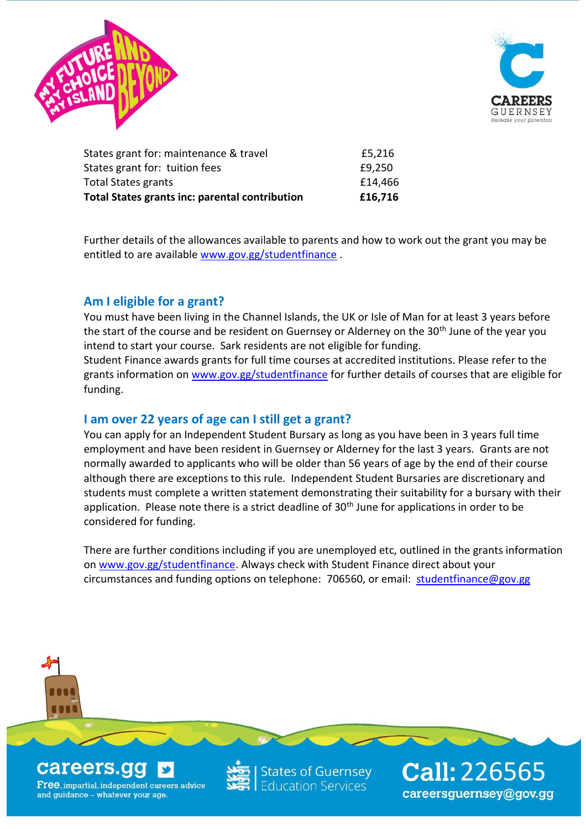



| £14,466 |
|---------|
|         |
| £9,250  |
| £5,216  |
|         |

Further details of the allowances available to parents and how to work out the grant you may be entitled to are available [www.gov.gg/studentfinance](http://www.gov.gg/studentfinance) .

### **Am I eligible for a grant?**

You must have been living in the Channel Islands, the UK or Isle of Man for at least 3 years before the start of the course and be resident on Guernsey or Alderney on the 30<sup>th</sup> June of the year you intend to start your course. Sark residents are not eligible for funding.

Student Finance awards grants for full time courses at accredited institutions. Please refer to the grants information on [www.gov.gg/studentfinance](http://www.gov.gg/studentfinance) for further details of courses that are eligible for funding.

#### **I am over 22 years of age can I still get a grant?**

You can apply for an Independent Student Bursary as long as you have been in 3 years full time employment and have been resident in Guernsey or Alderney for the last 3 years. Grants are not normally awarded to applicants who will be older than 56 years of age by the end of their course although there are exceptions to this rule. Independent Student Bursaries are discretionary and students must complete a written statement demonstrating their suitability for a bursary with their application. Please note there is a strict deadline of  $30<sup>th</sup>$  June for applications in order to be considered for funding.

There are further conditions including if you are unemployed etc, outlined in the grants information on [www.gov.gg/studentfinance.](http://www.gov.gg/studentfinance) Always check with Student Finance direct about your circumstances and funding options on telephone: 706560, or email: [studentfinance@gov.gg](mailto:studentfinance@gov.gg)

## careers.go

**Free, impartial, independent careers advice** and guidance - whatever your age.